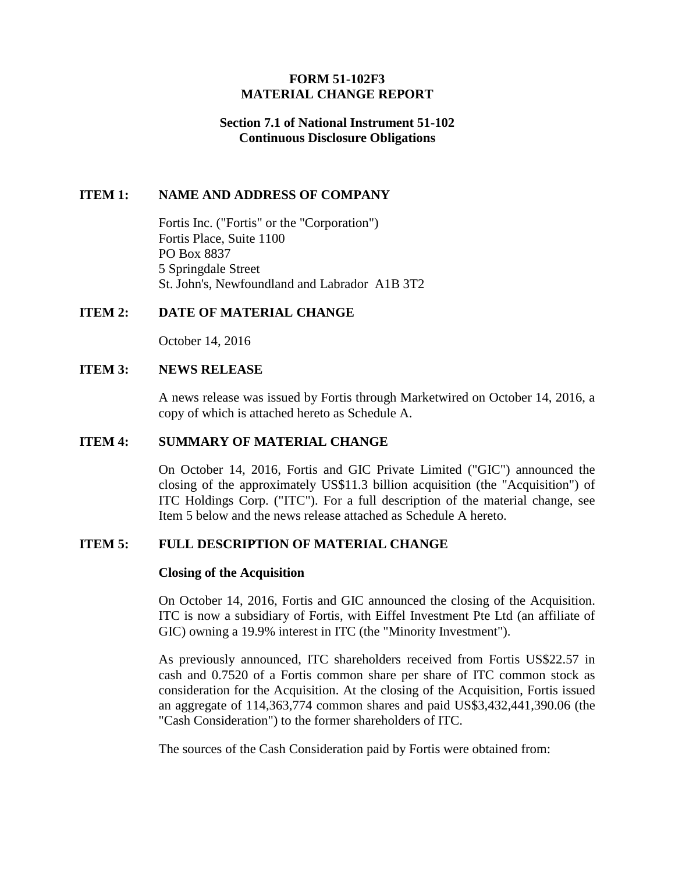# **FORM 51-102F3 MATERIAL CHANGE REPORT**

# **Section 7.1 of National Instrument 51-102 Continuous Disclosure Obligations**

# **ITEM 1: NAME AND ADDRESS OF COMPANY**

Fortis Inc. ("Fortis" or the "Corporation") Fortis Place, Suite 1100 PO Box 8837 5 Springdale Street St. John's, Newfoundland and Labrador A1B 3T2

# **ITEM 2: DATE OF MATERIAL CHANGE**

October 14, 2016

# **ITEM 3: NEWS RELEASE**

A news release was issued by Fortis through Marketwired on October 14, 2016, a copy of which is attached hereto as Schedule A.

### **ITEM 4: SUMMARY OF MATERIAL CHANGE**

On October 14, 2016, Fortis and GIC Private Limited ("GIC") announced the closing of the approximately US\$11.3 billion acquisition (the "Acquisition") of ITC Holdings Corp. ("ITC"). For a full description of the material change, see Item 5 below and the news release attached as Schedule A hereto.

# **ITEM 5: FULL DESCRIPTION OF MATERIAL CHANGE**

### **Closing of the Acquisition**

On October 14, 2016, Fortis and GIC announced the closing of the Acquisition. ITC is now a subsidiary of Fortis, with Eiffel Investment Pte Ltd (an affiliate of GIC) owning a 19.9% interest in ITC (the "Minority Investment").

As previously announced, ITC shareholders received from Fortis US\$22.57 in cash and 0.7520 of a Fortis common share per share of ITC common stock as consideration for the Acquisition. At the closing of the Acquisition, Fortis issued an aggregate of 114,363,774 common shares and paid US\$3,432,441,390.06 (the "Cash Consideration") to the former shareholders of ITC.

The sources of the Cash Consideration paid by Fortis were obtained from: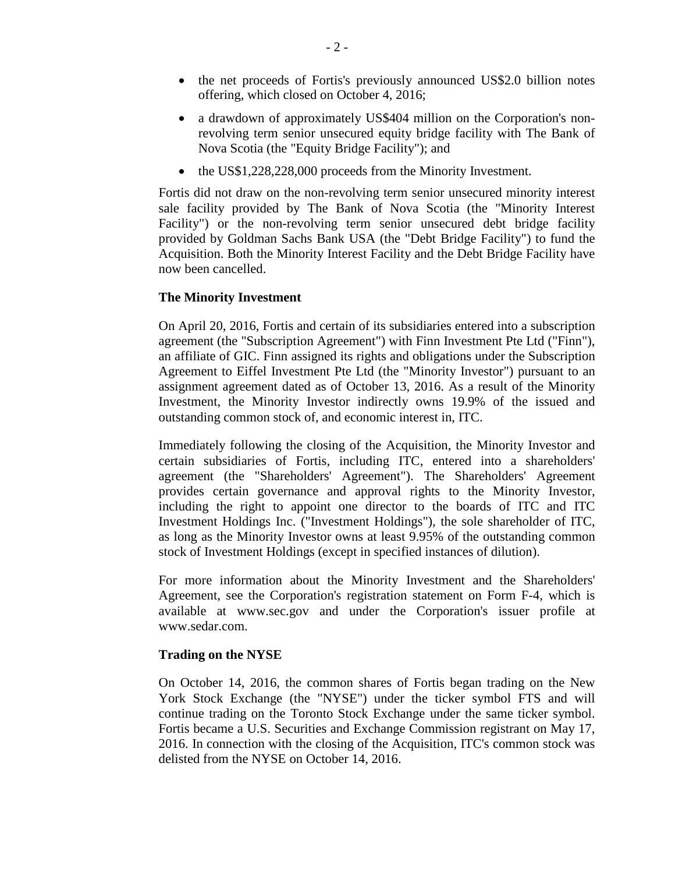- the net proceeds of Fortis's previously announced US\$2.0 billion notes offering, which closed on October 4, 2016;
- a drawdown of approximately US\$404 million on the Corporation's nonrevolving term senior unsecured equity bridge facility with The Bank of Nova Scotia (the "Equity Bridge Facility"); and
- the US\$1,228,228,000 proceeds from the Minority Investment.

Fortis did not draw on the non-revolving term senior unsecured minority interest sale facility provided by The Bank of Nova Scotia (the "Minority Interest Facility") or the non-revolving term senior unsecured debt bridge facility provided by Goldman Sachs Bank USA (the "Debt Bridge Facility") to fund the Acquisition. Both the Minority Interest Facility and the Debt Bridge Facility have now been cancelled.

# **The Minority Investment**

On April 20, 2016, Fortis and certain of its subsidiaries entered into a subscription agreement (the "Subscription Agreement") with Finn Investment Pte Ltd ("Finn"), an affiliate of GIC. Finn assigned its rights and obligations under the Subscription Agreement to Eiffel Investment Pte Ltd (the "Minority Investor") pursuant to an assignment agreement dated as of October 13, 2016. As a result of the Minority Investment, the Minority Investor indirectly owns 19.9% of the issued and outstanding common stock of, and economic interest in, ITC.

Immediately following the closing of the Acquisition, the Minority Investor and certain subsidiaries of Fortis, including ITC, entered into a shareholders' agreement (the "Shareholders' Agreement"). The Shareholders' Agreement provides certain governance and approval rights to the Minority Investor, including the right to appoint one director to the boards of ITC and ITC Investment Holdings Inc. ("Investment Holdings"), the sole shareholder of ITC, as long as the Minority Investor owns at least 9.95% of the outstanding common stock of Investment Holdings (except in specified instances of dilution).

For more information about the Minority Investment and the Shareholders' Agreement, see the Corporation's registration statement on Form F-4, which is available at www.sec.gov and under the Corporation's issuer profile at www.sedar.com.

# **Trading on the NYSE**

On October 14, 2016, the common shares of Fortis began trading on the New York Stock Exchange (the "NYSE") under the ticker symbol FTS and will continue trading on the Toronto Stock Exchange under the same ticker symbol. Fortis became a U.S. Securities and Exchange Commission registrant on May 17, 2016. In connection with the closing of the Acquisition, ITC's common stock was delisted from the NYSE on October 14, 2016.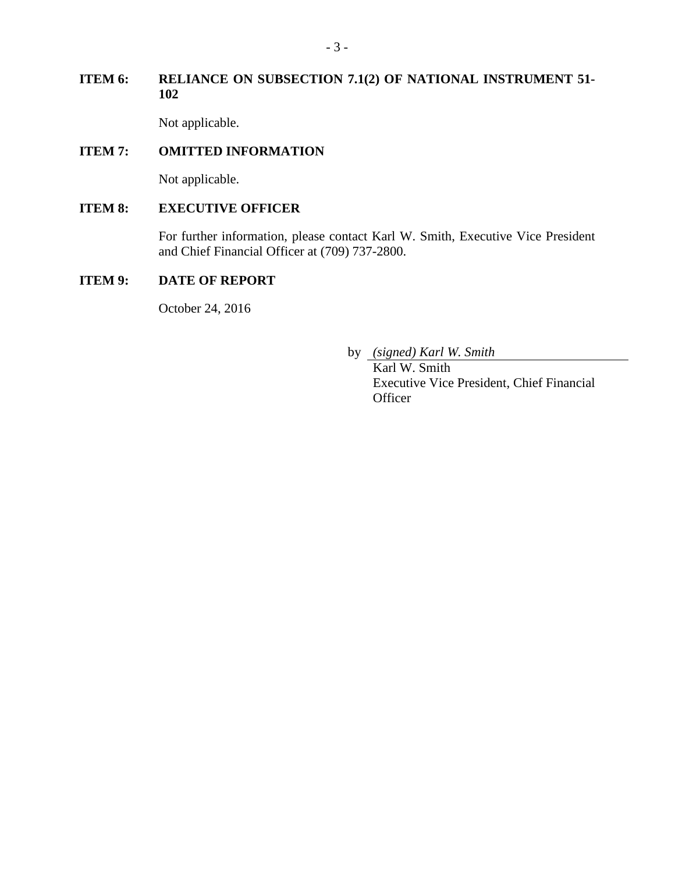# **ITEM 6: RELIANCE ON SUBSECTION 7.1(2) OF NATIONAL INSTRUMENT 51- 102**

Not applicable.

# **ITEM 7: OMITTED INFORMATION**

Not applicable.

# **ITEM 8: EXECUTIVE OFFICER**

For further information, please contact Karl W. Smith, Executive Vice President and Chief Financial Officer at (709) 737-2800.

# **ITEM 9: DATE OF REPORT**

October 24, 2016

by *(signed) Karl W. Smith*

Karl W. Smith Executive Vice President, Chief Financial **Officer**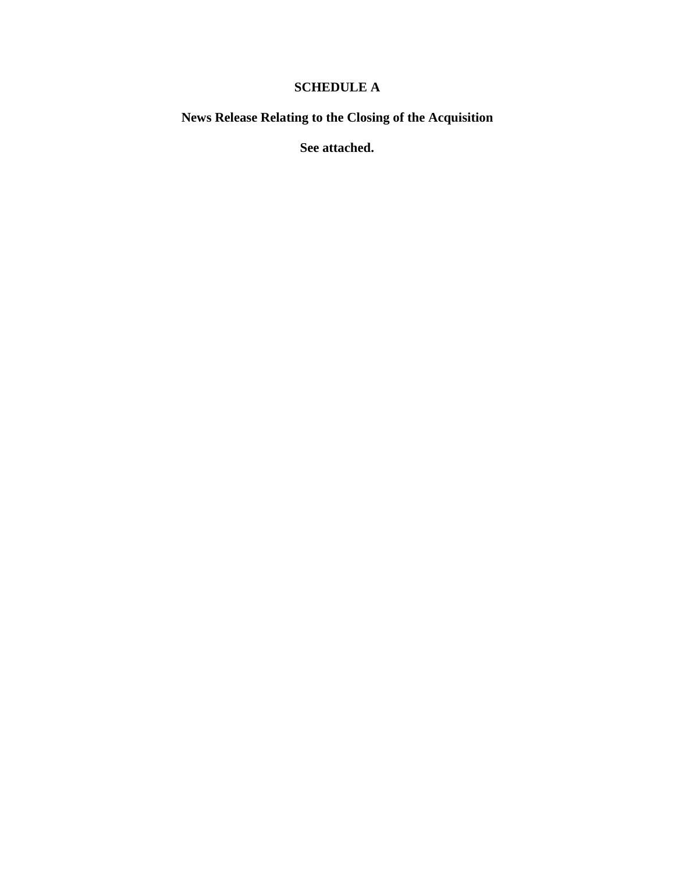# **SCHEDULE A**

**News Release Relating to the Closing of the Acquisition**

**See attached.**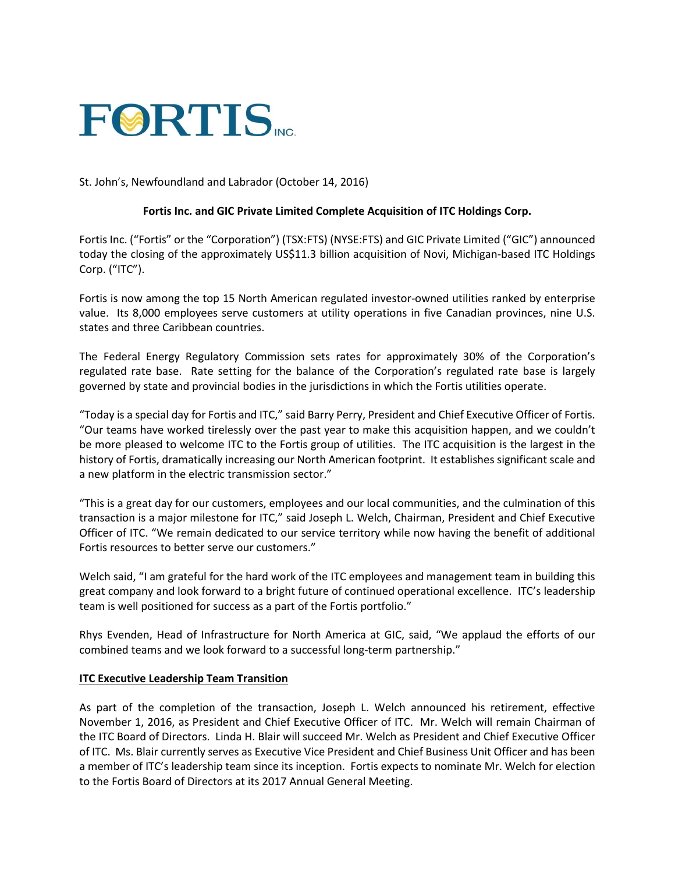

### St. John's, Newfoundland and Labrador (October 14, 2016)

#### **Fortis Inc. and GIC Private Limited Complete Acquisition of ITC Holdings Corp.**

Fortis Inc. ("Fortis" or the "Corporation") (TSX:FTS) (NYSE:FTS) and GIC Private Limited ("GIC") announced today the closing of the approximately US\$11.3 billion acquisition of Novi, Michigan-based ITC Holdings Corp. ("ITC").

Fortis is now among the top 15 North American regulated investor-owned utilities ranked by enterprise value. Its 8,000 employees serve customers at utility operations in five Canadian provinces, nine U.S. states and three Caribbean countries.

The Federal Energy Regulatory Commission sets rates for approximately 30% of the Corporation's regulated rate base. Rate setting for the balance of the Corporation's regulated rate base is largely governed by state and provincial bodies in the jurisdictions in which the Fortis utilities operate.

"Today is a special day for Fortis and ITC," said Barry Perry, President and Chief Executive Officer of Fortis. "Our teams have worked tirelessly over the past year to make this acquisition happen, and we couldn't be more pleased to welcome ITC to the Fortis group of utilities. The ITC acquisition is the largest in the history of Fortis, dramatically increasing our North American footprint. It establishes significant scale and a new platform in the electric transmission sector."

"This is a great day for our customers, employees and our local communities, and the culmination of this transaction is a major milestone for ITC," said Joseph L. Welch, Chairman, President and Chief Executive Officer of ITC. "We remain dedicated to our service territory while now having the benefit of additional Fortis resources to better serve our customers."

Welch said, "I am grateful for the hard work of the ITC employees and management team in building this great company and look forward to a bright future of continued operational excellence. ITC's leadership team is well positioned for success as a part of the Fortis portfolio."

Rhys Evenden, Head of Infrastructure for North America at GIC, said, "We applaud the efforts of our combined teams and we look forward to a successful long-term partnership."

#### **ITC Executive Leadership Team Transition**

As part of the completion of the transaction, Joseph L. Welch announced his retirement, effective November 1, 2016, as President and Chief Executive Officer of ITC. Mr. Welch will remain Chairman of the ITC Board of Directors. Linda H. Blair will succeed Mr. Welch as President and Chief Executive Officer of ITC. Ms. Blair currently serves as Executive Vice President and Chief Business Unit Officer and has been a member of ITC's leadership team since its inception. Fortis expects to nominate Mr. Welch for election to the Fortis Board of Directors at its 2017 Annual General Meeting.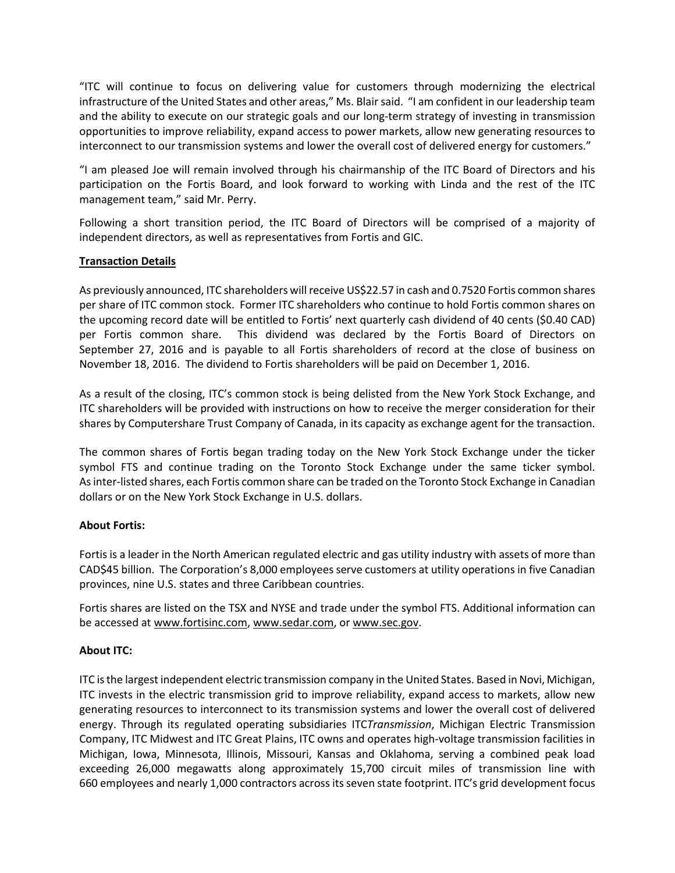"ITC will continue to focus on delivering value for customers through modernizing the electrical infrastructure of the United States and other areas," Ms. Blair said. "I am confident in our leadership team and the ability to execute on our strategic goals and our long-term strategy of investing in transmission opportunities to improve reliability, expand access to power markets, allow new generating resources to interconnect to our transmission systems and lower the overall cost of delivered energy for customers."

"I am pleased Joe will remain involved through his chairmanship of the ITC Board of Directors and his participation on the Fortis Board, and look forward to working with Linda and the rest of the ITC management team," said Mr. Perry.

Following a short transition period, the ITC Board of Directors will be comprised of a majority of independent directors, as well as representatives from Fortis and GIC.

### **Transaction Details**

As previously announced, ITC shareholders will receive US\$22.57 in cash and 0.7520 Fortis common shares per share of ITC common stock. Former ITC shareholders who continue to hold Fortis common shares on the upcoming record date will be entitled to Fortis' next quarterly cash dividend of 40 cents (\$0.40 CAD) per Fortis common share. This dividend was declared by the Fortis Board of Directors on September 27, 2016 and is payable to all Fortis shareholders of record at the close of business on November 18, 2016. The dividend to Fortis shareholders will be paid on December 1, 2016.

As a result of the closing, ITC's common stock is being delisted from the New York Stock Exchange, and ITC shareholders will be provided with instructions on how to receive the merger consideration for their shares by Computershare Trust Company of Canada, in its capacity as exchange agent for the transaction.

The common shares of Fortis began trading today on the New York Stock Exchange under the ticker symbol FTS and continue trading on the Toronto Stock Exchange under the same ticker symbol. As inter-listed shares, each Fortis common share can be traded on the Toronto Stock Exchange in Canadian dollars or on the New York Stock Exchange in U.S. dollars.

### **About Fortis:**

Fortis is a leader in the North American regulated electric and gas utility industry with assets of more than CAD\$45 billion. The Corporation's 8,000 employees serve customers at utility operations in five Canadian provinces, nine U.S. states and three Caribbean countries.

Fortis shares are listed on the TSX and NYSE and trade under the symbol FTS. Additional information can be accessed at www.fortisinc.com, www.sedar.com, or www.sec.gov.

### **About ITC:**

ITC is the largest independent electric transmission company in the United States. Based in Novi, Michigan, ITC invests in the electric transmission grid to improve reliability, expand access to markets, allow new generating resources to interconnect to its transmission systems and lower the overall cost of delivered energy. Through its regulated operating subsidiaries ITC*Transmission*, Michigan Electric Transmission Company, ITC Midwest and ITC Great Plains, ITC owns and operates high-voltage transmission facilities in Michigan, Iowa, Minnesota, Illinois, Missouri, Kansas and Oklahoma, serving a combined peak load exceeding 26,000 megawatts along approximately 15,700 circuit miles of transmission line with 660 employees and nearly 1,000 contractors across its seven state footprint. ITC's grid development focus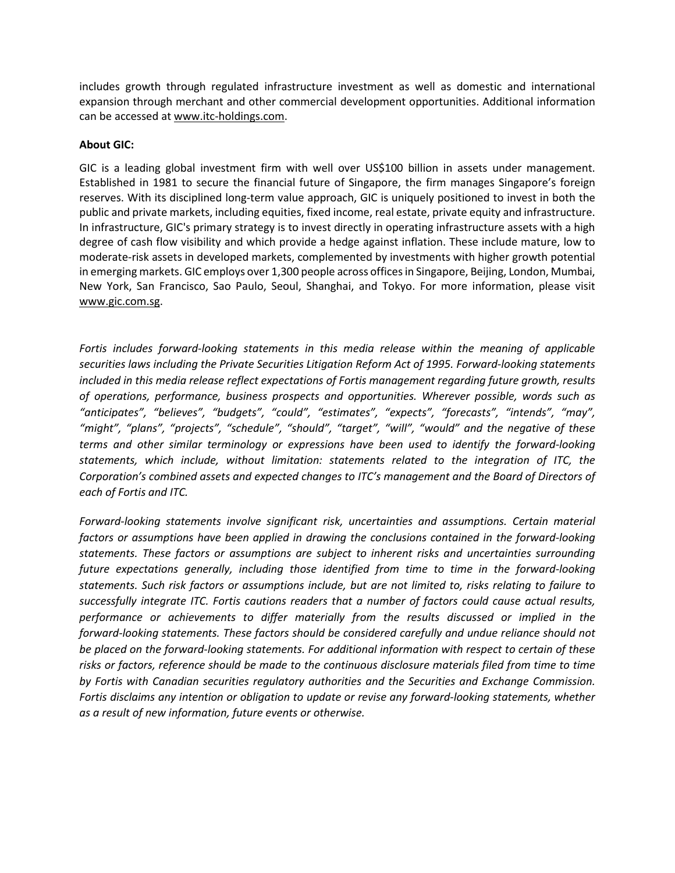includes growth through regulated infrastructure investment as well as domestic and international expansion through merchant and other commercial development opportunities. Additional information can be accessed at www.itc-holdings.com.

### **About GIC:**

GIC is a leading global investment firm with well over US\$100 billion in assets under management. Established in 1981 to secure the financial future of Singapore, the firm manages Singapore's foreign reserves. With its disciplined long-term value approach, GIC is uniquely positioned to invest in both the public and private markets, including equities, fixed income, real estate, private equity and infrastructure. In infrastructure, GIC's primary strategy is to invest directly in operating infrastructure assets with a high degree of cash flow visibility and which provide a hedge against inflation. These include mature, low to moderate-risk assets in developed markets, complemented by investments with higher growth potential in emerging markets. GIC employs over 1,300 people across offices in Singapore, Beijing, London, Mumbai, New York, San Francisco, Sao Paulo, Seoul, Shanghai, and Tokyo. For more information, please visit [www.gic.com.sg.](http://www.gic.com.sg/)

*Fortis includes forward-looking statements in this media release within the meaning of applicable securities laws including the Private Securities Litigation Reform Act of 1995. Forward-looking statements included in this media release reflect expectations of Fortis management regarding future growth, results of operations, performance, business prospects and opportunities. Wherever possible, words such as "anticipates", "believes", "budgets", "could", "estimates", "expects", "forecasts", "intends", "may", "might", "plans", "projects", "schedule", "should", "target", "will", "would" and the negative of these terms and other similar terminology or expressions have been used to identify the forward-looking statements, which include, without limitation: statements related to the integration of ITC, the Corporation's combined assets and expected changes to ITC's management and the Board of Directors of each of Fortis and ITC.*

*Forward-looking statements involve significant risk, uncertainties and assumptions. Certain material factors or assumptions have been applied in drawing the conclusions contained in the forward-looking statements. These factors or assumptions are subject to inherent risks and uncertainties surrounding future expectations generally, including those identified from time to time in the forward-looking statements. Such risk factors or assumptions include, but are not limited to, risks relating to failure to successfully integrate ITC. Fortis cautions readers that a number of factors could cause actual results, performance or achievements to differ materially from the results discussed or implied in the forward-looking statements. These factors should be considered carefully and undue reliance should not be placed on the forward-looking statements. For additional information with respect to certain of these risks or factors, reference should be made to the continuous disclosure materials filed from time to time by Fortis with Canadian securities regulatory authorities and the Securities and Exchange Commission. Fortis disclaims any intention or obligation to update or revise any forward-looking statements, whether as a result of new information, future events or otherwise.*